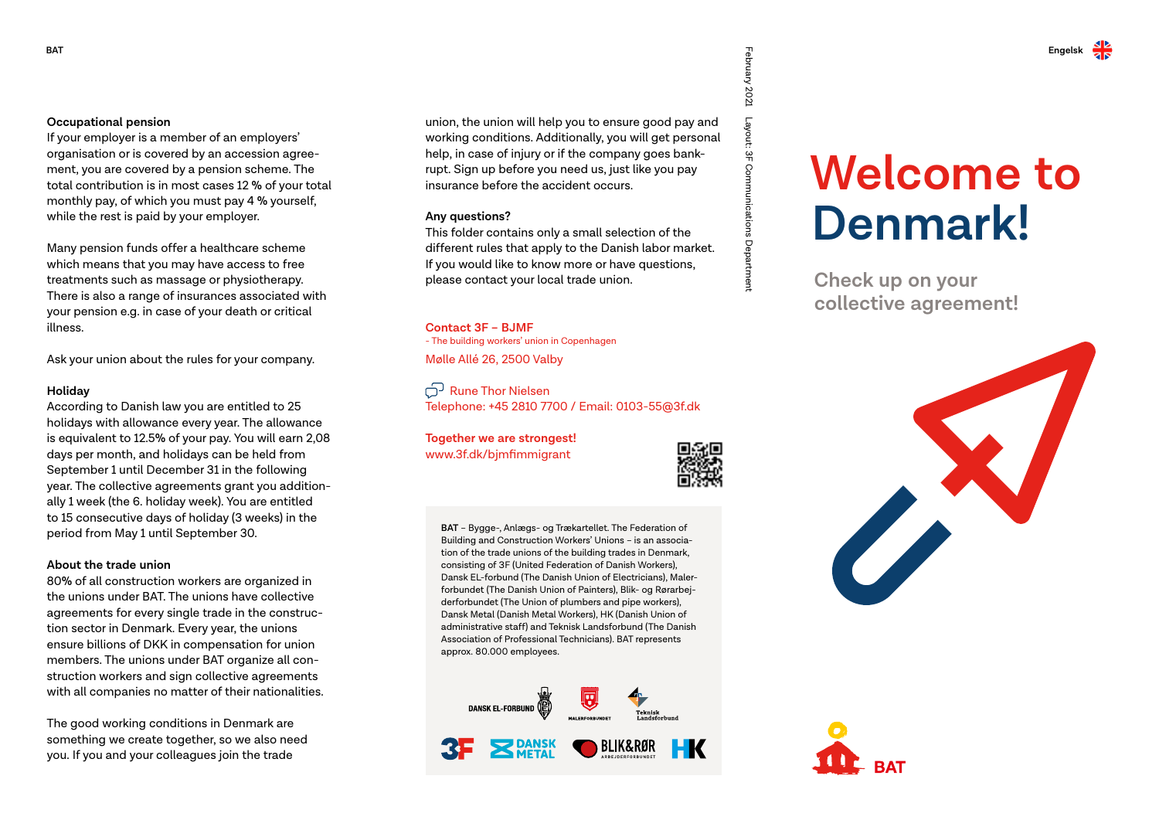### **Occupational pension**

If your employer is a member of an employers' organisation or is covered by an accession agreement, you are covered by a pension scheme. The total contribution is in most cases 12 % of your total monthly pay, of which you must pay 4 % yourself, while the rest is paid by your employer.

Many pension funds offer a healthcare scheme which means that you may have access to free treatments such as massage or physiotherapy. There is also a range of insurances associated with your pension e.g. in case of your death or critical illness.

Ask your union about the rules for your company.

### **Holiday**

According to Danish law you are entitled to 25 holidays with allowance every year. The allowance is equivalent to 12.5% of your pay. You will earn 2,08 days per month, and holidays can be held from September 1 until December 31 in the following year. The collective agreements grant you additionally 1 week (the 6. holiday week). You are entitled to 15 consecutive days of holiday (3 weeks) in the period from May 1 until September 30.

### **About the trade union**

80% of all construction workers are organized in the unions under BAT. The unions have collective agreements for every single trade in the construction sector in Denmark. Every year, the unions ensure billions of DKK in compensation for union members. The unions under BAT organize all construction workers and sign collective agreements with all companies no matter of their nationalities.

The good working conditions in Denmark are something we create together, so we also need you. If you and your colleagues join the trade

union, the union will help you to ensure good pay and working conditions. Additionally, you will get personal help, in case of injury or if the company goes bankrupt. Sign up before you need us, just like you pay insurance before the accident occurs.

### **Any questions?**

This folder contains only a small selection of the different rules that apply to the Danish labor market. If you would like to know more or have questions, please contact your local trade union.

#### **Contact 3F – BJMF**

- The building workers' union in Copenhagen Mølle Allé 26, 2500 Valby

Rune Thor Nielsen Telephone: +45 2810 7700 / Email: 0103-55@3f.dk

## **Together we are strongest!**

www.3f.dk/bjmfimmigrant



February 2021

Layout: 3F Communications Department

Layout: 3F Communications Department

**BAT** – Bygge-, Anlægs- og Trækartellet. The Federation of Building and Construction Workers' Unions – is an association of the trade unions of the building trades in Denmark, consisting of 3F (United Federation of Danish Workers), Dansk EL-forbund (The Danish Union of Electricians), Malerforbundet (The Danish Union of Painters), Blik- og Rørarbejderforbundet (The Union of plumbers and pipe workers), Dansk Metal (Danish Metal Workers), HK (Danish Union of administrative staff) and Teknisk Landsforbund (The Danish Association of Professional Technicians). BAT represents approx. 80.000 employees.



# **Welcome to Denmark!**

 **Check up on your collective agreement!**